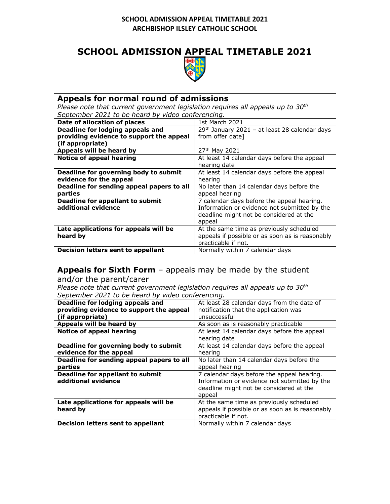## **SCHOOL ADMISSION APPEAL TIMETABLE 2021**



| Appeals for normal round of admissions                                            |                                                 |
|-----------------------------------------------------------------------------------|-------------------------------------------------|
| Please note that current government legislation requires all appeals up to $30th$ |                                                 |
| September 2021 to be heard by video conferencing.                                 |                                                 |
| Date of allocation of places                                                      | 1st March 2021                                  |
| Deadline for lodging appeals and                                                  | 29th January 2021 - at least 28 calendar days   |
| providing evidence to support the appeal                                          | from offer date]                                |
| (if appropriate)                                                                  |                                                 |
| Appeals will be heard by                                                          | 27th May 2021                                   |
| <b>Notice of appeal hearing</b>                                                   | At least 14 calendar days before the appeal     |
|                                                                                   | hearing date                                    |
| Deadline for governing body to submit                                             | At least 14 calendar days before the appeal     |
| evidence for the appeal                                                           | hearing                                         |
| Deadline for sending appeal papers to all                                         | No later than 14 calendar days before the       |
| parties                                                                           | appeal hearing                                  |
| <b>Deadline for appellant to submit</b>                                           | 7 calendar days before the appeal hearing.      |
| additional evidence                                                               | Information or evidence not submitted by the    |
|                                                                                   | deadline might not be considered at the         |
|                                                                                   | appeal                                          |
| Late applications for appeals will be                                             | At the same time as previously scheduled        |
| heard by                                                                          | appeals if possible or as soon as is reasonably |
|                                                                                   | practicable if not.                             |
| Decision letters sent to appellant                                                | Normally within 7 calendar days                 |

| <b>Appeals for Sixth Form</b> $-$ appeals may be made by the student              |                                                 |
|-----------------------------------------------------------------------------------|-------------------------------------------------|
| and/or the parent/carer                                                           |                                                 |
| Please note that current government legislation requires all appeals up to $30th$ |                                                 |
| September 2021 to be heard by video conferencing.                                 |                                                 |
| Deadline for lodging appeals and                                                  | At least 28 calendar days from the date of      |
| providing evidence to support the appeal                                          | notification that the application was           |
| (if appropriate)                                                                  | unsuccessful                                    |
| Appeals will be heard by                                                          | As soon as is reasonably practicable            |
| <b>Notice of appeal hearing</b>                                                   | At least 14 calendar days before the appeal     |
|                                                                                   | hearing date                                    |
| Deadline for governing body to submit                                             | At least 14 calendar days before the appeal     |
| evidence for the appeal                                                           | hearing                                         |
| Deadline for sending appeal papers to all                                         | No later than 14 calendar days before the       |
| parties                                                                           | appeal hearing                                  |
| <b>Deadline for appellant to submit</b>                                           | 7 calendar days before the appeal hearing.      |
| additional evidence                                                               | Information or evidence not submitted by the    |
|                                                                                   | deadline might not be considered at the         |
|                                                                                   | appeal                                          |
| Late applications for appeals will be                                             | At the same time as previously scheduled        |
| heard by                                                                          | appeals if possible or as soon as is reasonably |
|                                                                                   | practicable if not.                             |
| Decision letters sent to appellant                                                | Normally within 7 calendar days                 |